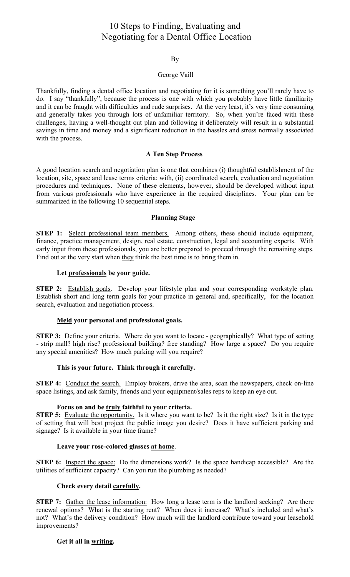# 10 Steps to Finding, Evaluating and Negotiating for a Dental Office Location

## By

#### George Vaill

Thankfully, finding a dental office location and negotiating for it is something you'll rarely have to do. I say "thankfully", because the process is one with which you probably have little familiarity and it can be fraught with difficulties and rude surprises. At the very least, it's very time consuming and generally takes you through lots of unfamiliar territory. So, when you're faced with these challenges, having a well-thought out plan and following it deliberately will result in a substantial savings in time and money and a significant reduction in the hassles and stress normally associated with the process.

## **A Ten Step Process**

A good location search and negotiation plan is one that combines (i) thoughtful establishment of the location, site, space and lease terms criteria; with, (ii) coordinated search, evaluation and negotiation procedures and techniques. None of these elements, however, should be developed without input from various professionals who have experience in the required disciplines. Your plan can be summarized in the following 10 sequential steps.

## **Planning Stage**

STEP 1: Select professional team members. Among others, these should include equipment, finance, practice management, design, real estate, construction, legal and accounting experts. With early input from these professionals, you are better prepared to proceed through the remaining steps. Find out at the very start when they think the best time is to bring them in.

## Let professionals be your guide.

STEP 2: Establish goals. Develop your lifestyle plan and your corresponding workstyle plan. Establish short and long term goals for your practice in general and, specifically, for the location search, evaluation and negotiation process.

# Meld your personal and professional goals.

**STEP 3:** Define your criteria. Where do you want to locate - geographically? What type of setting - strip mall? high rise? professional building? free standing? How large a space? Do you require any special amenities? How much parking will you require?

# This is your future. Think through it carefully.

STEP 4: Conduct the search. Employ brokers, drive the area, scan the newspapers, check on-line space listings, and ask family, friends and your equipment/sales reps to keep an eye out.

#### Focus on and be truly faithful to your criteria.

**STEP 5:** Evaluate the opportunity. Is it where you want to be? Is it the right size? Is it in the type of setting that will best project the public image you desire? Does it have sufficient parking and signage? Is it available in your time frame?

# Leave your rose-colored glasses at home.

STEP 6: Inspect the space: Do the dimensions work? Is the space handicap accessible? Are the utilities of sufficient capacity? Can you run the plumbing as needed?

# Check every detail carefully.

**STEP 7:** Gather the lease information: How long a lease term is the landlord seeking? Are there renewal options? What is the starting rent? When does it increase? What's included and what's not? What's the delivery condition? How much will the landlord contribute toward your leasehold improvements?

# Get it all in writing.